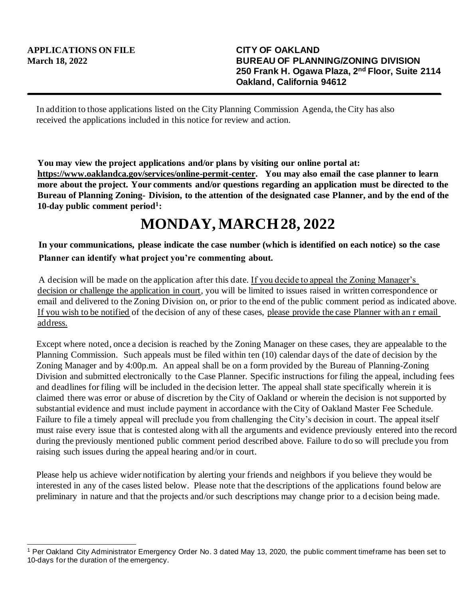In addition to those applications listed on the City Planning Commission Agenda, the City has also received the applications included in this notice for review and action.

**You may view the project applications and/or plans by visiting our online portal at: https://www.oaklandca.gov/services/online-permit-center. You may also email the case planner to learn more about the project. Your comments and/or questions regarding an application must be directed to the Bureau of Planning Zoning- Division, to the attention of the designated case Planner, and by the end of the 10-day public comment period<sup>1</sup> :**

## **MONDAY, MARCH 28, 2022**

**In your communications, please indicate the case number (which is identified on each notice) so the case Planner can identify what project you're commenting about.**

A decision will be made on the application after this date. If you decide to appeal the Zoning Manager's decision or challenge the application in court, you will be limited to issues raised in written correspondence or email and delivered to the Zoning Division on, or prior to the end of the public comment period as indicated above. If you wish to be notified of the decision of any of these cases, please provide the case Planner with an r email address.

Except where noted, once a decision is reached by the Zoning Manager on these cases, they are appealable to the Planning Commission. Such appeals must be filed within ten (10) calendar days of the date of decision by the Zoning Manager and by 4:00p.m. An appeal shall be on a form provided by the Bureau of Planning-Zoning Division and submitted electronically to the Case Planner. Specific instructions for filing the appeal, including fees and deadlines for filing will be included in the decision letter. The appeal shall state specifically wherein it is claimed there was error or abuse of discretion by the City of Oakland or wherein the decision is not supported by substantial evidence and must include payment in accordance with the City of Oakland Master Fee Schedule. Failure to file a timely appeal will preclude you from challenging the City's decision in court. The appeal itself must raise every issue that is contested along with all the arguments and evidence previously entered into the record during the previously mentioned public comment period described above. Failure to do so will preclude you from raising such issues during the appeal hearing and/or in court.

Please help us achieve wider notification by alerting your friends and neighbors if you believe they would be interested in any of the cases listed below. Please note that the descriptions of the applications found below are preliminary in nature and that the projects and/or such descriptions may change prior to a d ecision being made.

<sup>1</sup> Per Oakland City Administrator Emergency Order No. 3 dated May 13, 2020, the public comment timeframe has been set to 10-days for the duration of the emergency.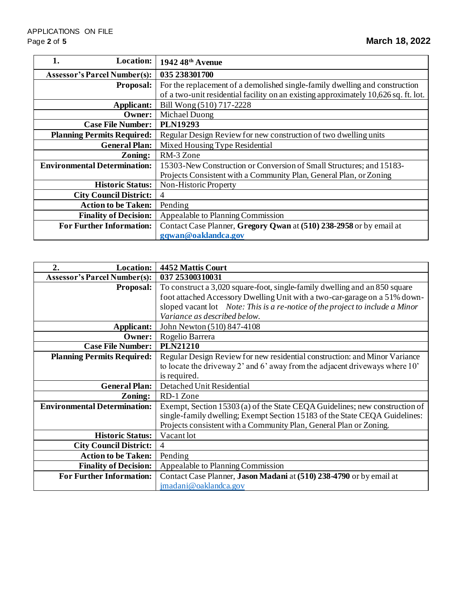| <b>Location:</b><br>1.              | $1942\,48$ <sup>th</sup> Avenue                                                     |
|-------------------------------------|-------------------------------------------------------------------------------------|
| <b>Assessor's Parcel Number(s):</b> | 035 238301700                                                                       |
| <b>Proposal:</b>                    | For the replacement of a demolished single-family dwelling and construction         |
|                                     | of a two-unit residential facility on an existing approximately 10,626 sq. ft. lot. |
| Applicant:                          | Bill Wong (510) 717-2228                                                            |
| Owner:                              | Michael Duong                                                                       |
| <b>Case File Number:</b>            | <b>PLN19293</b>                                                                     |
| <b>Planning Permits Required:</b>   | Regular Design Review for new construction of two dwelling units                    |
| <b>General Plan:</b>                | Mixed Housing Type Residential                                                      |
| Zoning:                             | RM-3 Zone                                                                           |
| <b>Environmental Determination:</b> | 15303-New Construction or Conversion of Small Structures; and 15183-                |
|                                     | Projects Consistent with a Community Plan, General Plan, or Zoning                  |
| <b>Historic Status:</b>             | Non-Historic Property                                                               |
| <b>City Council District:</b>       | 4                                                                                   |
| <b>Action to be Taken:</b>          | Pending                                                                             |
| <b>Finality of Decision:</b>        | Appealable to Planning Commission                                                   |
| <b>For Further Information:</b>     | Contact Case Planner, Gregory Qwan at (510) 238-2958 or by email at                 |
|                                     | gqwan@oaklandca.gov                                                                 |

| 2.<br><b>Location:</b>              | 4452 Mattis Court                                                                    |
|-------------------------------------|--------------------------------------------------------------------------------------|
| <b>Assessor's Parcel Number(s):</b> | 037 25300310031                                                                      |
| <b>Proposal:</b>                    | To construct a 3,020 square-foot, single-family dwelling and an 850 square           |
|                                     | foot attached Accessory Dwelling Unit with a two-car-garage on a 51% down-           |
|                                     | sloped vacant lot <i>Note: This is a re-notice of the project to include a Minor</i> |
|                                     | Variance as described below.                                                         |
| Applicant:                          | John Newton (510) 847-4108                                                           |
| Owner:                              | Rogelio Barrera                                                                      |
| <b>Case File Number:</b>            | <b>PLN21210</b>                                                                      |
| <b>Planning Permits Required:</b>   | Regular Design Review for new residential construction: and Minor Variance           |
|                                     | to locate the driveway $2'$ and $6'$ away from the adjacent driveways where $10'$    |
|                                     | is required.                                                                         |
| <b>General Plan:</b>                | Detached Unit Residential                                                            |
| Zoning:                             | RD-1 Zone                                                                            |
| <b>Environmental Determination:</b> | Exempt, Section 15303 (a) of the State CEQA Guidelines; new construction of          |
|                                     | single-family dwelling; Exempt Section 15183 of the State CEQA Guidelines:           |
|                                     | Projects consistent with a Community Plan, General Plan or Zoning.                   |
| <b>Historic Status:</b>             | Vacant lot                                                                           |
| <b>City Council District:</b>       | 4                                                                                    |
| <b>Action to be Taken:</b>          | Pending                                                                              |
| <b>Finality of Decision:</b>        | Appealable to Planning Commission                                                    |
| <b>For Further Information:</b>     | Contact Case Planner, Jason Madani at (510) 238-4790 or by email at                  |
|                                     | jmadani@oaklandca.gov                                                                |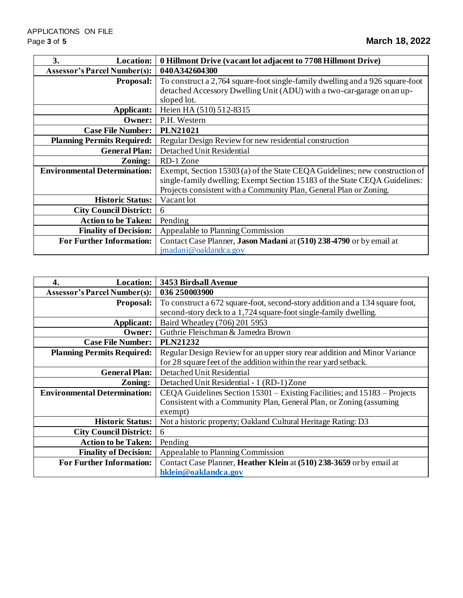| 3.<br><b>Location:</b>              | 0 Hillmont Drive (vacant lot adjacent to 7708 Hillmont Drive)                 |
|-------------------------------------|-------------------------------------------------------------------------------|
| <b>Assessor's Parcel Number(s):</b> | 040A342604300                                                                 |
| <b>Proposal:</b>                    | To construct a 2,764 square-foot single-family dwelling and a 926 square-foot |
|                                     | detached Accessory Dwelling Unit (ADU) with a two-car-garage on an up-        |
|                                     | sloped lot.                                                                   |
| Applicant:                          | Heien HA (510) 512-8315                                                       |
| <b>Owner:</b>                       | P.H. Western                                                                  |
| <b>Case File Number:</b>            | <b>PLN21021</b>                                                               |
| <b>Planning Permits Required:</b>   | Regular Design Review for new residential construction                        |
| <b>General Plan:</b>                | Detached Unit Residential                                                     |
| Zoning:                             | RD-1 Zone                                                                     |
| <b>Environmental Determination:</b> | Exempt, Section 15303 (a) of the State CEQA Guidelines; new construction of   |
|                                     | single-family dwelling; Exempt Section 15183 of the State CEQA Guidelines:    |
|                                     | Projects consistent with a Community Plan, General Plan or Zoning.            |
| <b>Historic Status:</b>             | Vacant lot                                                                    |
| <b>City Council District:</b>       | 6                                                                             |
| <b>Action to be Taken:</b>          | Pending                                                                       |
| <b>Finality of Decision:</b>        | Appealable to Planning Commission                                             |
| <b>For Further Information:</b>     | Contact Case Planner, Jason Madani at (510) 238-4790 or by email at           |
|                                     | jmadani@oaklandca.gov                                                         |

| <b>Location:</b><br>4.              | 3453 Birdsall Avenue                                                         |
|-------------------------------------|------------------------------------------------------------------------------|
| <b>Assessor's Parcel Number(s):</b> | 036 250003900                                                                |
| <b>Proposal:</b>                    | To construct a 672 square-foot, second-story addition and a 134 square foot, |
|                                     | second-story deck to a 1,724 square-foot single-family dwelling.             |
| Applicant:                          | Baird Wheatley (706) 201 5953                                                |
| Owner:                              | Guthrie Fleischman & Jamedra Brown                                           |
| <b>Case File Number:</b>            | <b>PLN21232</b>                                                              |
| <b>Planning Permits Required:</b>   | Regular Design Review for an upper story rear addition and Minor Variance    |
|                                     | for 28 square feet of the addition within the rear yard setback.             |
| <b>General Plan:</b>                | Detached Unit Residential                                                    |
| Zoning:                             | Detached Unit Residential - 1 (RD-1) Zone                                    |
| <b>Environmental Determination:</b> | CEQA Guidelines Section 15301 – Existing Facilities; and 15183 – Projects    |
|                                     | Consistent with a Community Plan, General Plan, or Zoning (assuming          |
|                                     | exempt)                                                                      |
| <b>Historic Status:</b>             | Not a historic property; Oakland Cultural Heritage Rating: D3                |
| <b>City Council District:</b>       | 6                                                                            |
| <b>Action to be Taken:</b>          | Pending                                                                      |
| <b>Finality of Decision:</b>        | Appealable to Planning Commission                                            |
| <b>For Further Information:</b>     | Contact Case Planner, Heather Klein at (510) 238-3659 or by email at         |
|                                     | hklein@oaklandca.gov                                                         |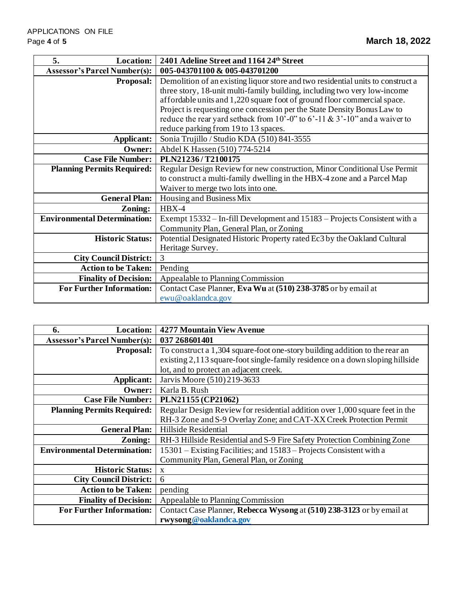| 5.<br><b>Location:</b>              | 2401 Adeline Street and 1164 24th Street                                         |
|-------------------------------------|----------------------------------------------------------------------------------|
| <b>Assessor's Parcel Number(s):</b> | 005-043701100 & 005-043701200                                                    |
| <b>Proposal:</b>                    | Demolition of an existing liquor store and two residential units to construct a  |
|                                     | three story, 18-unit multi-family building, including two very low-income        |
|                                     | affordable units and 1,220 square foot of ground floor commercial space.         |
|                                     | Project is requesting one concession per the State Density Bonus Law to          |
|                                     | reduce the rear yard setback from 10'-0" to $6'$ -11 & $3'$ -10" and a waiver to |
|                                     | reduce parking from 19 to 13 spaces.                                             |
| Applicant:                          | Sonia Trujillo / Studio KDA (510) 841-3555                                       |
| Owner:                              | Abdel K Hassen (510) 774-5214                                                    |
| <b>Case File Number:</b>            | PLN21236/T2100175                                                                |
| <b>Planning Permits Required:</b>   | Regular Design Review for new construction, Minor Conditional Use Permit         |
|                                     | to construct a multi-family dwelling in the HBX-4 zone and a Parcel Map          |
|                                     | Waiver to merge two lots into one.                                               |
| <b>General Plan:</b>                | Housing and Business Mix                                                         |
| Zoning:                             | $HBX-4$                                                                          |
| <b>Environmental Determination:</b> | Exempt 15332 – In-fill Development and 15183 – Projects Consistent with a        |
|                                     | Community Plan, General Plan, or Zoning                                          |
| <b>Historic Status:</b>             | Potential Designated Historic Property rated Ec3 by the Oakland Cultural         |
|                                     | Heritage Survey.                                                                 |
| <b>City Council District:</b>       | 3                                                                                |
| <b>Action to be Taken:</b>          | Pending                                                                          |
| <b>Finality of Decision:</b>        | Appealable to Planning Commission                                                |
| <b>For Further Information:</b>     | Contact Case Planner, Eva Wu at (510) 238-3785 or by email at                    |
|                                     | ewu@oaklandca.gov                                                                |

| <b>Location:</b><br>6.              | <b>4277 Mountain View Avenue</b>                                              |
|-------------------------------------|-------------------------------------------------------------------------------|
| <b>Assessor's Parcel Number(s):</b> | 037 268601401                                                                 |
| <b>Proposal:</b>                    | To construct a 1,304 square-foot one-story building addition to the rear an   |
|                                     | existing 2,113 square-foot single-family residence on a down sloping hillside |
|                                     | lot, and to protect an adjacent creek.                                        |
| Applicant:                          | Jarvis Moore (510) 219-3633                                                   |
| Owner:                              | Karla B. Rush                                                                 |
| <b>Case File Number:</b>            | PLN21155 (CP21062)                                                            |
| <b>Planning Permits Required:</b>   | Regular Design Review for residential addition over 1,000 square feet in the  |
|                                     | RH-3 Zone and S-9 Overlay Zone; and CAT-XX Creek Protection Permit            |
| <b>General Plan:</b>                | Hillside Residential                                                          |
| Zoning:                             | RH-3 Hillside Residential and S-9 Fire Safety Protection Combining Zone       |
| <b>Environmental Determination:</b> | 15301 – Existing Facilities; and 15183 – Projects Consistent with a           |
|                                     | Community Plan, General Plan, or Zoning                                       |
| <b>Historic Status:</b>             | X                                                                             |
| <b>City Council District:</b>       | 6                                                                             |
| <b>Action to be Taken:</b>          | pending                                                                       |
| <b>Finality of Decision:</b>        | Appealable to Planning Commission                                             |
| <b>For Further Information:</b>     | Contact Case Planner, Rebecca Wysong at (510) 238-3123 or by email at         |
|                                     | rwysong@oaklandca.gov                                                         |